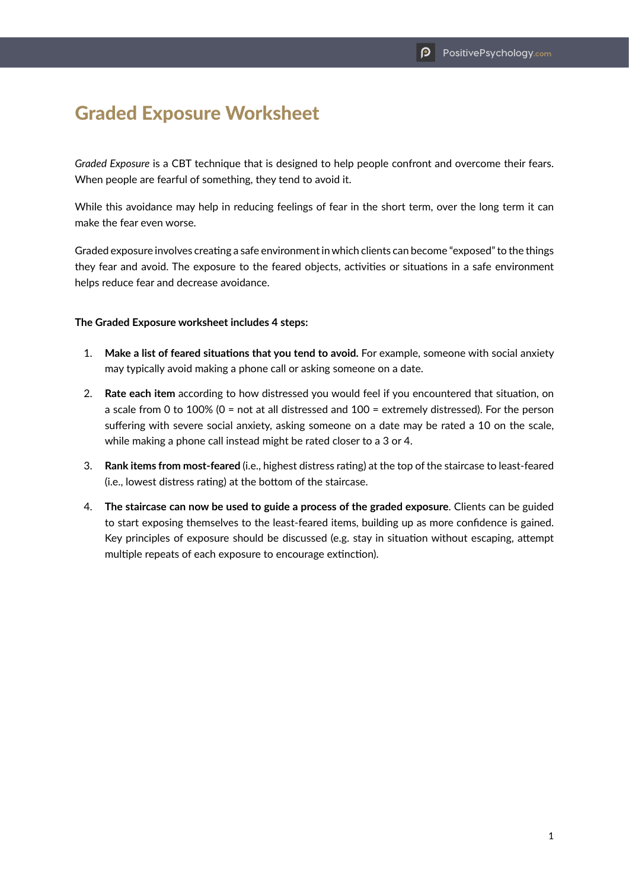## Graded Exposure Worksheet

*Graded Exposure* is a CBT technique that is designed to help people confront and overcome their fears. When people are fearful of something, they tend to avoid it.

While this avoidance may help in reducing feelings of fear in the short term, over the long term it can make the fear even worse.

Graded exposure involves creating a safe environment in which clients can become "exposed" to the things they fear and avoid. The exposure to the feared objects, activities or situations in a safe environment helps reduce fear and decrease avoidance.

## **The Graded Exposure worksheet includes 4 steps:**

- 1. **Make a list of feared situations that you tend to avoid.** For example, someone with social anxiety may typically avoid making a phone call or asking someone on a date.
- 2. **Rate each item** according to how distressed you would feel if you encountered that situation, on a scale from 0 to 100% (0 = not at all distressed and 100 = extremely distressed). For the person suffering with severe social anxiety, asking someone on a date may be rated a 10 on the scale, while making a phone call instead might be rated closer to a 3 or 4.
- 3. **Rank items from most-feared** (i.e., highest distress rating) at the top of the staircase to least-feared (i.e., lowest distress rating) at the bottom of the staircase.
- 4. **The staircase can now be used to guide a process of the graded exposure**. Clients can be guided to start exposing themselves to the least-feared items, building up as more confidence is gained. Key principles of exposure should be discussed (e.g. stay in situation without escaping, attempt multiple repeats of each exposure to encourage extinction).